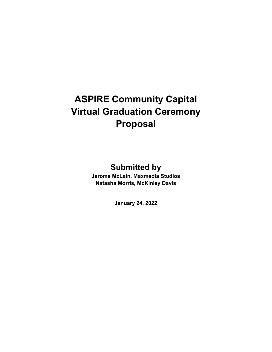# **ASPIRE Community Capital Virtual Graduation Ceremony Proposal**

# **Submitted by**

**Jerome McLain, Maxmedia Studios Natasha Morris, McKinley Davis**

**January 24, 2022**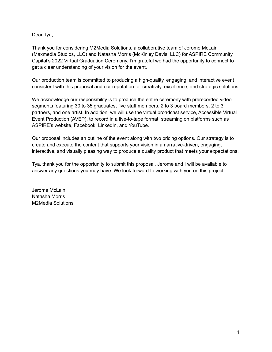Dear Tya,

Thank you for considering M2Media Solutions, a collaborative team of Jerome McLain (Maxmedia Studios, LLC) and Natasha Morris (McKinley Davis, LLC) for ASPIRE Community Capital's 2022 Virtual Graduation Ceremony. I'm grateful we had the opportunity to connect to get a clear understanding of your vision for the event.

Our production team is committed to producing a high-quality, engaging, and interactive event consistent with this proposal and our reputation for creativity, excellence, and strategic solutions.

We acknowledge our responsibility is to produce the entire ceremony with prerecorded video segments featuring 30 to 35 graduates, five staff members, 2 to 3 board members, 2 to 3 partners, and one artist. In addition, we will use the virtual broadcast service, Accessible Virtual Event Production (AVEP), to record in a live-to-tape format, streaming on platforms such as ASPIRE's website, Facebook, LinkedIn, and YouTube.

Our proposal includes an outline of the event along with two pricing options. Our strategy is to create and execute the content that supports your vision in a narrative-driven, engaging, interactive, and visually pleasing way to produce a quality product that meets your expectations.

Tya, thank you for the opportunity to submit this proposal. Jerome and I will be available to answer any questions you may have. We look forward to working with you on this project.

Jerome McLain Natasha Morris M2Media Solutions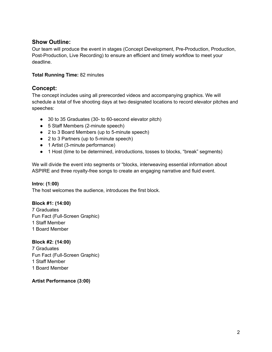# **Show Outline:**

Our team will produce the event in stages (Concept Development, Pre-Production, Production, Post-Production, Live Recording) to ensure an efficient and timely workflow to meet your deadline.

#### **Total Running Time:** 82 minutes

# **Concept:**

The concept includes using all prerecorded videos and accompanying graphics. We will schedule a total of five shooting days at two designated locations to record elevator pitches and speeches:

- 30 to 35 Graduates (30- to 60-second elevator pitch)
- 5 Staff Members (2-minute speech)
- 2 to 3 Board Members (up to 5-minute speech)
- 2 to 3 Partners (up to 5-minute speech)
- 1 Artist (3-minute performance)
- 1 Host (time to be determined, introductions, tosses to blocks, "break" segments)

We will divide the event into segments or "blocks, interweaving essential information about ASPIRE and three royalty-free songs to create an engaging narrative and fluid event.

#### **Intro: (1:00)**

The host welcomes the audience, introduces the first block.

#### **Block #1: (14:00)**

 Graduates Fun Fact (Full-Screen Graphic) Staff Member Board Member

#### **Block #2: (14:00)**

 Graduates Fun Fact (Full-Screen Graphic) Staff Member Board Member

**Artist Performance (3:00)**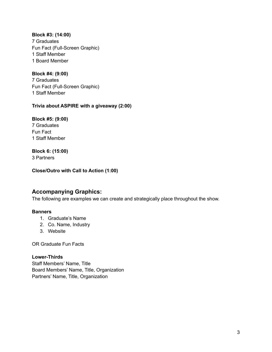**Block #3: (14:00)** 7 Graduates Fun Fact (Full-Screen Graphic) 1 Staff Member 1 Board Member

**Block #4: (9:00)** 7 Graduates Fun Fact (Full-Screen Graphic) 1 Staff Member

#### **Trivia about ASPIRE with a giveaway (2:00)**

**Block #5: (9:00)** 7 Graduates Fun Fact

1 Staff Member **Block 6: (15:00)**

3 Partners

**Close/Outro with Call to Action (1:00)**

# **Accompanying Graphics:**

The following are examples we can create and strategically place throughout the show.

#### **Banners**

- 1. Graduate's Name
- 2. Co. Name, Industry
- 3. Website

OR Graduate Fun Facts

#### **Lower-Thirds**

Staff Members' Name, Title Board Members' Name, Title, Organization Partners' Name, Title, Organization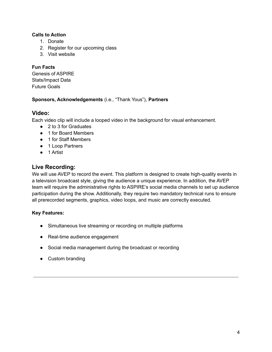#### **Calls to Action**

- 1. Donate
- 2. Register for our upcoming class
- 3. Visit website

#### **Fun Facts**

Genesis of ASPIRE Stats/Impact Data Future Goals

#### **Sponsors, Acknowledgements** (i.e., "Thank Yous"), **Partners**

## **Video:**

Each video clip will include a looped video in the background for visual enhancement.

- 2 to 3 for Graduates
- 1 for Board Members
- 1 for Staff Members
- 1 Loop Partners
- 1 Artist

# **Live Recording:**

We will use AVEP to record the event. This platform is designed to create high-quality events in a television broadcast style, giving the audience a unique experience. In addition, the AVEP team will require the administrative rights to ASPIRE's social media channels to set up audience participation during the show. Additionally, they require two mandatory technical runs to ensure all prerecorded segments, graphics, video loops, and music are correctly executed.

### **Key Features:**

- Simultaneous live streaming or recording on multiple platforms
- Real-time audience engagement
- Social media management during the broadcast or recording
- Custom branding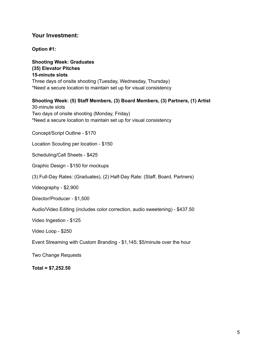### **Your Investment:**

**Option #1:**

**Shooting Week: Graduates (35) Elevator Pitches 15-minute slots** Three days of onsite shooting (Tuesday, Wednesday, Thursday) \*Need a secure location to maintain set up for visual consistency

#### **Shooting Week: (5) Staff Members, (3) Board Members, (3) Partners, (1) Artist**

30-minute slots Two days of onsite shooting (Monday, Friday) \*Need a secure location to maintain set up for visual consistency

Concept/Script Outline - \$170

Location Scouting per location - \$150

Scheduling/Call Sheets - \$425

Graphic Design - \$150 for mockups

(3) Full-Day Rates: (Graduates), (2) Half-Day Rate: (Staff, Board, Partners)

Videography - \$2,900

Director/Producer - \$1,500

Audio/Video Editing (includes color correction, audio sweetening) - \$437.50

Video Ingestion - \$125

Video Loop - \$250

Event Streaming with Custom Branding - \$1,145; \$5/minute over the hour

Two Change Requests

**Total = \$7,252.50**